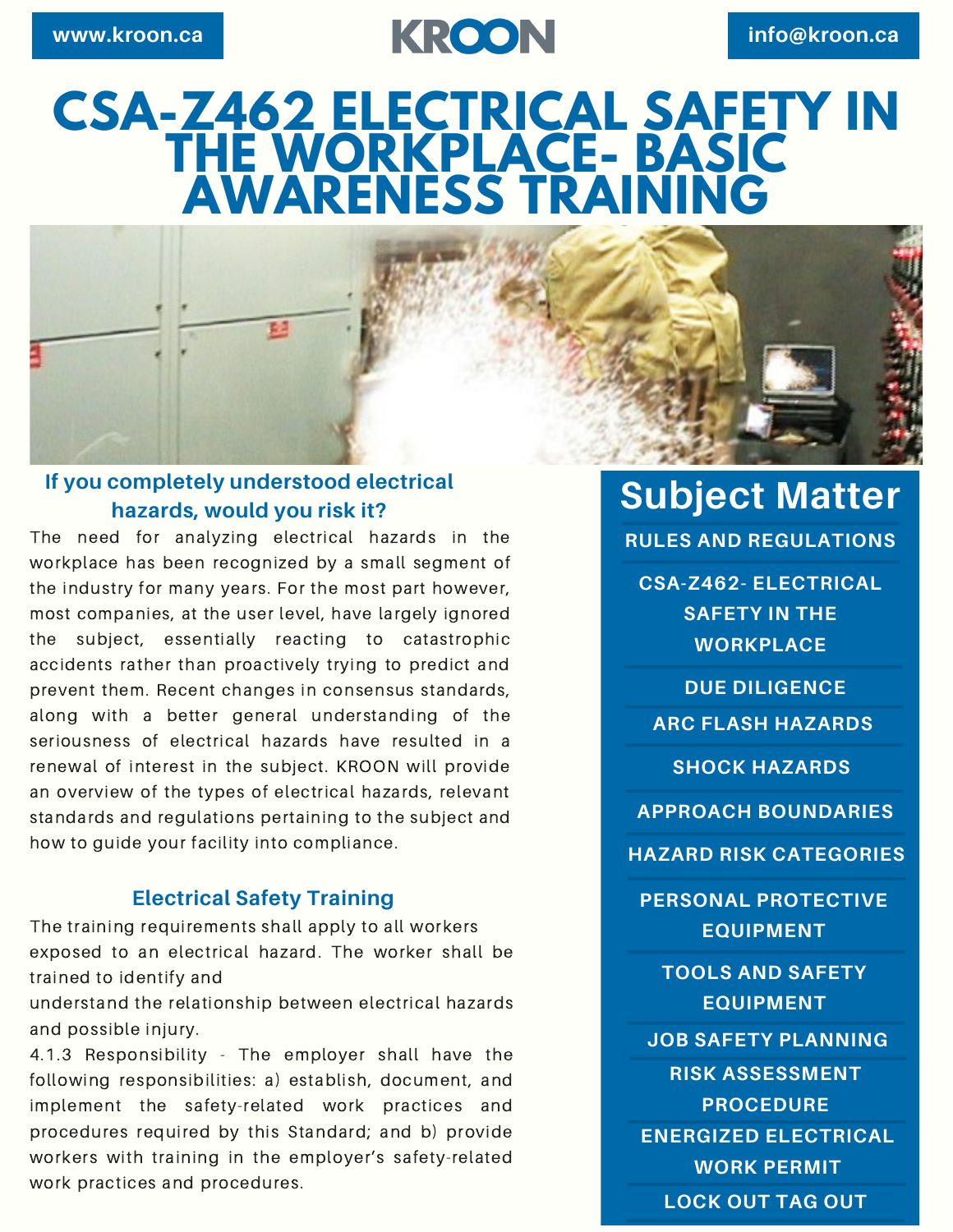# **www.kroon.ca info@kroon.ca**

# **CSA-Z462 ELECTRICAL SAFETY IN THE WORKPLACE- BASIC AWARENESS TRAINING**

#### **If you completely understood electrical hazards, would you risk it?**

The need for analyzing electrical hazards in the workplace has been recognized by a small segment of the industry for many years. For the most part however, most companies, at the user level, have largely ignored the subject, essentially reacting to catastrophic accidents rather than proactively trying to predict and prevent them. Recent changes in consensus standards, along with a better general understanding of the seriousness of electrical hazards have resulted in a renewal of interest in the subject. KROON will provide an overview of the types of electrical hazards, relevant standards and regulations pertaining to the subject and how to guide your facility into compliance.

#### **Electrical Safety Training**

The training requirements shall apply to all workers exposed to an electrical hazard. The worker shall be trained to identify and

understand the relationship between electrical hazards and possible injury.

4.1.3 Responsibility - The employer shall have the following responsibilities: a) establish, document, and implement the safety-related work practices and procedures required by this Standard; and b) provide workers with training in the employer's safety-related work practices and procedures.

**Subject Matter**

**RULES AND REGULATIONS**

**CSA-Z462- ELECTRICAL SAFETY IN THE WORKPLACE**

**DUE DILIGENCE ARC FLASH HAZARDS**

**SHOCK HAZARDS**

**APPROACH BOUNDARIES**

**HAZARD RISK CATEGORIES**

**PERSONAL PROTECTIVE EQUIPMENT**

**TOOLS AND SAFETY EQUIPMENT**

**JOB SAFETY PLANNING**

**ENERGIZED ELECTRICAL WORK PERMIT RISK ASSESSMENT PROCEDURE**

**LOCK OUT TAG OUT**